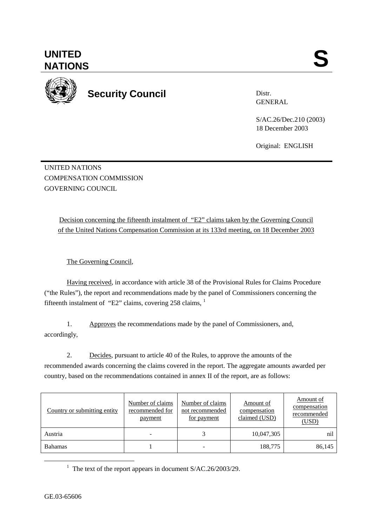<u>1</u>



**UNITED** 

Distr. GENERAL

> S/AC.26/Dec.210 (2003) 18 December 2003

Original: ENGLISH

UNITED NATIONS COMPENSATION COMMISSION GOVERNING COUNCIL

> Decision concerning the fifteenth instalment of "E2" claims taken by the Governing Council of the United Nations Compensation Commission at its 133rd meeting, on 18 December 2003

The Governing Council,

Having received, in accordance with article 38 of the Provisional Rules for Claims Procedure ("the Rules"), the report and recommendations made by the panel of Commissioners concerning the fifteenth instalment of "E2" claims, covering 258 claims, <sup>1</sup>

1. Approves the recommendations made by the panel of Commissioners, and, accordingly,

2. Decides, pursuant to article 40 of the Rules, to approve the amounts of the recommended awards concerning the claims covered in the report. The aggregate amounts awarded per country, based on the recommendations contained in annex II of the report, are as follows:

| Country or submitting entity | Number of claims<br>recommended for<br>payment | Number of claims<br>not recommended<br><u>for payment</u> | Amount of<br>compensation<br>claimed (USD) | Amount of<br>compensation<br>recommended<br>(USD) |
|------------------------------|------------------------------------------------|-----------------------------------------------------------|--------------------------------------------|---------------------------------------------------|
| Austria                      | -                                              |                                                           | 10,047,305                                 | nil                                               |
| <b>Bahamas</b>               |                                                |                                                           | 188,775                                    | 86,145                                            |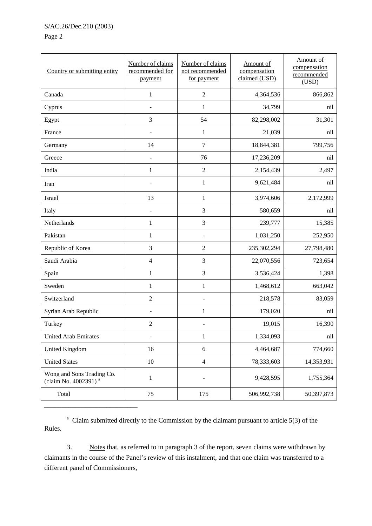## S/AC.26/Dec.210 (2003)

## Page 2

| Country or submitting entity                                  | Number of claims<br>recommended for<br>payment | Number of claims<br>not recommended<br>for payment | Amount of<br>compensation<br>claimed (USD) | Amount of<br>compensation<br>recommended<br>(USD) |
|---------------------------------------------------------------|------------------------------------------------|----------------------------------------------------|--------------------------------------------|---------------------------------------------------|
| Canada                                                        | $\mathbf{1}$                                   | $\overline{2}$                                     | 4,364,536                                  | 866,862                                           |
| Cyprus                                                        | $\overline{\phantom{a}}$                       | $\mathbf{1}$                                       | 34,799                                     | nil                                               |
| Egypt                                                         | 3                                              | 54                                                 | 82,298,002                                 | 31,301                                            |
| France                                                        |                                                | $\mathbf{1}$                                       | 21,039                                     | nil                                               |
| Germany                                                       | 14                                             | $\overline{7}$                                     | 18,844,381                                 | 799,756                                           |
| Greece                                                        |                                                | 76                                                 | 17,236,209                                 | nil                                               |
| India                                                         | $\mathbf{1}$                                   | $\overline{2}$                                     | 2,154,439                                  | 2,497                                             |
| Iran                                                          |                                                | $\mathbf{1}$                                       | 9,621,484                                  | nil                                               |
| Israel                                                        | 13                                             | $\mathbf{1}$                                       | 3,974,606                                  | 2,172,999                                         |
| Italy                                                         | $\qquad \qquad \blacksquare$                   | 3                                                  | 580,659                                    | nil                                               |
| Netherlands                                                   | $\mathbf{1}$                                   | 3                                                  | 239,777                                    | 15,385                                            |
| Pakistan                                                      | $\mathbf{1}$                                   |                                                    | 1,031,250                                  | 252,950                                           |
| Republic of Korea                                             | 3                                              | $\overline{2}$                                     | 235,302,294                                | 27,798,480                                        |
| Saudi Arabia                                                  | $\overline{4}$                                 | 3                                                  | 22,070,556                                 | 723,654                                           |
| Spain                                                         | $\mathbf{1}$                                   | 3                                                  | 3,536,424                                  | 1,398                                             |
| Sweden                                                        | $\mathbf{1}$                                   | $\mathbf{1}$                                       | 1,468,612                                  | 663,042                                           |
| Switzerland                                                   | $\overline{2}$                                 |                                                    | 218,578                                    | 83,059                                            |
| Syrian Arab Republic                                          |                                                | $\mathbf 1$                                        | 179,020                                    | nil                                               |
| Turkey                                                        | $\sqrt{2}$                                     | ÷,                                                 | 19,015                                     | 16,390                                            |
| <b>United Arab Emirates</b>                                   | $\overline{a}$                                 | $\mathbf{1}$                                       | 1,334,093                                  | nil                                               |
| United Kingdom                                                | 16                                             | $\sqrt{6}$                                         | 4,464,687                                  | 774,660                                           |
| <b>United States</b>                                          | 10                                             | $\overline{4}$                                     | 78,333,603                                 | 14,353,931                                        |
| Wong and Sons Trading Co.<br>(claim No. 4002391) <sup>a</sup> | $\,1$                                          |                                                    | 9,428,595                                  | 1,755,364                                         |
| Total                                                         | 75                                             | 175                                                | 506,992,738                                | 50,397,873                                        |

<sup>a</sup> Claim submitted directly to the Commission by the claimant pursuant to article  $5(3)$  of the Rules.

3. Notes that, as referred to in paragraph 3 of the report, seven claims were withdrawn by claimants in the course of the Panel's review of this instalment, and that one claim was transferred to a different panel of Commissioners,